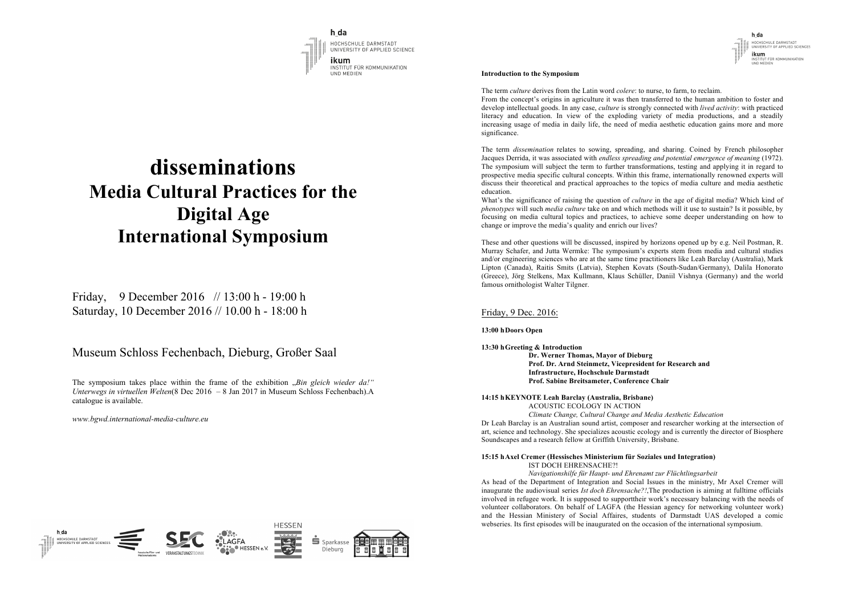h da  $\cdots$ **DMCTANT** h da PPLIED SCIENCE HOCHSCHULE DARMSTADT<br>UNIVERSITY OF APPLIED SCIENCES *AMUNIKATION* fhmd **ACHREREICH MEDIA** 

# **disseminations Media Cultural Practices for the Digital Age International Symposium**

Friday, 9 December 2016 // 13:00 h - 19:00 h Saturday, 10 December 2016 // 10.00 h - 18:00 h

# Museum Schloss Fechenbach, Dieburg, Großer Saal

The symposium takes place within the frame of the exhibition "*Bin gleich wieder da!" Unterwegs in virtuellen Welten*(8 Dec 2016 – 8 Jan 2017 in Museum Schloss Fechenbach).A catalogue is available.

*www.bgwd.international-media-culture.eu*

#### **Introduction to the Symposium**

The term *culture* derives from the Latin word *colere*: to nurse, to farm, to reclaim.

From the concept's origins in agriculture it was then transferred to the human ambition to foster and develop intellectual goods. In any case, *culture* is strongly connected with *lived activity*: with practiced literacy and education. In view of the exploding variety of media productions, and a steadily increasing usage of media in daily life, the need of media aesthetic education gains more and more significance.

h da

ikum INSTITUT FÜR KOMMUNIKATION UND MEDIEN

HOCHSCHULE DARMSTADT<br>UNIVERSITY OF APPLIED SCIENCES

The term *dissemination* relates to sowing, spreading, and sharing. Coined by French philosopher Jacques Derrida, it was associated with *endless spreading and potential emergence of meaning* (1972). The symposium will subject the term to further transformations, testing and applying it in regard to prospective media specific cultural concepts. Within this frame, internationally renowned experts will discuss their theoretical and practical approaches to the topics of media culture and media aesthetic education.

What's the significance of raising the question of *culture* in the age of digital media? Which kind of *phenotypes* will such *media culture* take on and which methods will it use to sustain? Is it possible, by focusing on media cultural topics and practices, to achieve some deeper understanding on how to change or improve the media's quality and enrich our lives?

These and other questions will be discussed, inspired by horizons opened up by e.g. Neil Postman, R. Murray Schafer, and Jutta Wermke: The symposium's experts stem from media and cultural studies and/or engineering sciences who are at the same time practitioners like Leah Barclay (Australia), Mark Lipton (Canada), Raitis Smits (Latvia), Stephen Kovats (South-Sudan/Germany), Dalila Honorato (Greece), Jörg Stelkens, Max Kullmann, Klaus Schüller, Daniil Vishnya (Germany) and the world famous ornithologist Walter Tilgner.

### Friday, 9 Dec. 2016:

#### **13:00 hDoors Open**

**13:30 hGreeting & Introduction Dr. Werner Thomas, Mayor of Dieburg Prof. Dr. Arnd Steinmetz, Vicepresident for Research and Infrastructure, Hochschule Darmstadt Prof. Sabine Breitsameter, Conference Chair**

### **14:15 hKEYNOTE Leah Barclay (Australia, Brisbane)**

ACOUSTIC ECOLOGY IN ACTION *Climate Change, Cultural Change and Media Aesthetic Education* Dr Leah Barclay is an Australian sound artist, composer and researcher working at the intersection of art, science and technology. She specializes acoustic ecology and is currently the director of Biosphere Soundscapes and a research fellow at Griffith University, Brisbane.

#### **15:15 hAxel Cremer (Hessisches Ministerium für Soziales und Integration)** IST DOCH EHRENSACHE?!

*Navigationshilfe für Haupt- und Ehrenamt zur Flüchtlingsarbeit* As head of the Department of Integration and Social Issues in the ministry, Mr Axel Cremer will inaugurate the audiovisual series *Ist doch Ehrensache?!*,The production is aiming at fulltime officials involved in refugee work. It is supposed to supporttheir work's necessary balancing with the needs of volunteer collaborators. On behalf of LAGFA (the Hessian agency for networking volunteer work) and the Hessian Ministery of Social Affaires, students of Darmstadt UAS developed a comic webseries. Its first episodes will be inaugurated on the occasion of the international symposium.